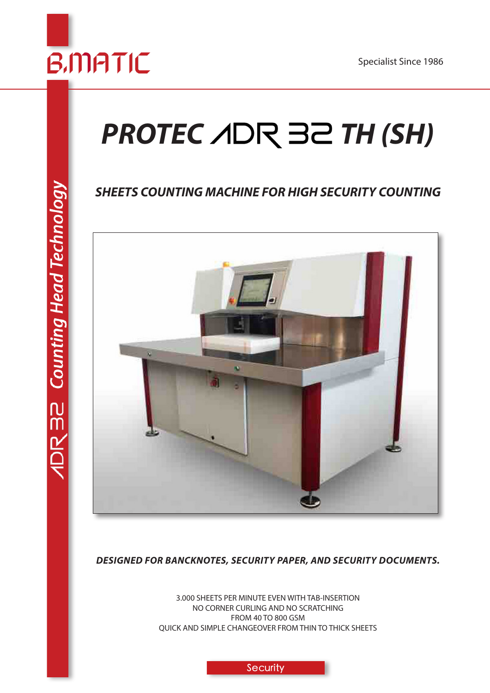

# **PROTEC** *A*DR 32 TH (SH)

## *SHEETS COUNTING MACHINE FOR HIGH SECURITY COUNTING*



*DESIGNED FOR BANCKNOTES, SECURITY PAPER, AND SECURITY DOCUMENTS.* 

3.000 SHEETS PER MINUTE EVEN WITH TAB-INSERTION NO CORNER CURLING AND NO SCRATCHING FROM 40 TO 800 GSM QUICK AND SIMPLE CHANGEOVER FROM THIN TO THICK SHEETS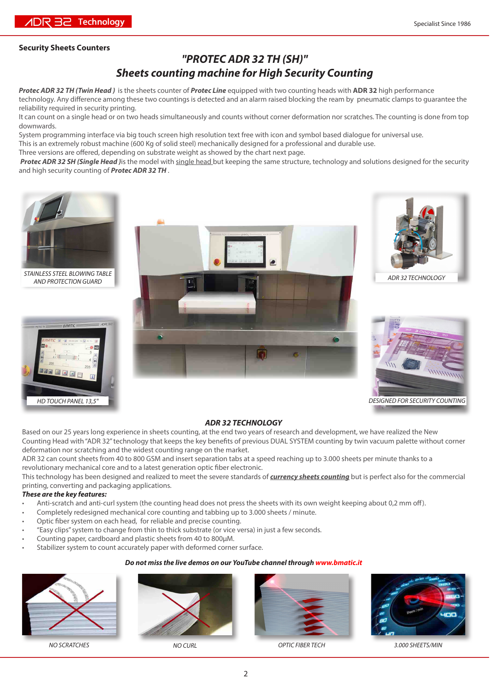## **Security Sheets Counters**

## *"PROTEC ADR 32 TH (SH)" Sheets counting machine for High Security Counting*

*Protec ADR 32 TH (Twin Head )* is the sheets counter of *Protec Line* equipped with two counting heads with **ADR 32** high performance technology. Any difference among these two countings is detected and an alarm raised blocking the ream by pneumatic clamps to guarantee the reliability required in security printing.

It can count on a single head or on two heads simultaneously and counts without corner deformation nor scratches. The counting is done from top downwards.

System programming interface via big touch screen high resolution text free with icon and symbol based dialogue for universal use. This is an extremely robust machine (600 Kg of solid steel) mechanically designed for a professional and durable use.

Three versions are offered, depending on substrate weight as showed by the chart next page.

*Protec ADR 32 SH (Single Head )*is the model with single head but keeping the same structure, technology and solutions designed for the security and high security counting of *Protec ADR 32 TH* .



*STAINLESS STEEL BLOWING TABLE AND PROTECTION GUARD*







*ADR 32 TECHNOLOGY*



## *ADR 32 TECHNOLOGY*

Based on our 25 years long experience in sheets counting, at the end two years of research and development, we have realized the New Counting Head with "ADR 32" technology that keeps the key benefits of previous DUAL SYSTEM counting by twin vacuum palette without corner deformation nor scratching and the widest counting range on the market.

ADR 32 can count sheets from 40 to 800 GSM and insert separation tabs at a speed reaching up to 3.000 sheets per minute thanks to a revolutionary mechanical core and to a latest generation optic fiber electronic.

This technology has been designed and realized to meet the severe standards of *currency sheets counting* but is perfect also for the commercial printing, converting and packaging applications.

#### *These are the key features:*

- Anti-scratch and anti-curl system (the counting head does not press the sheets with its own weight keeping about 0,2 mm off).
- Completely redesigned mechanical core counting and tabbing up to 3.000 sheets / minute.
- Optic fiber system on each head, for reliable and precise counting.
- "Easy clips" system to change from thin to thick substrate (or vice versa) in just a few seconds.
- Counting paper, cardboard and plastic sheets from 40 to 800µM.
- Stabilizer system to count accurately paper with deformed corner surface.

#### *Do not miss the live demos on our YouTube channel through www.bmatic.it*







*NO SCRATCHES NO CURL OPTIC FIBER TECH 3.000 SHEETS/MIN*

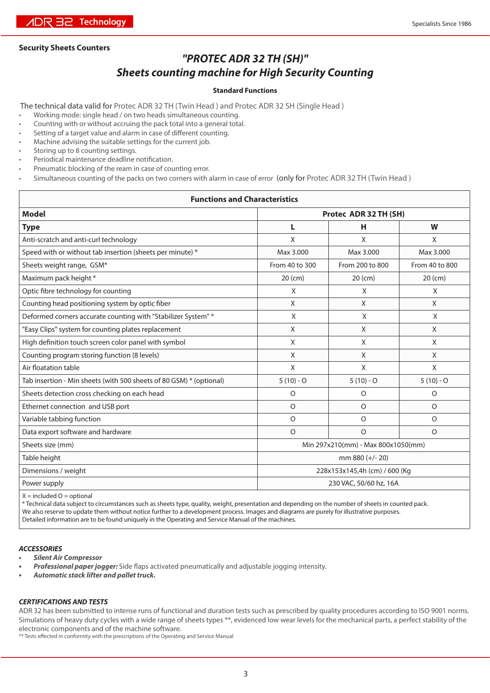## **Security Sheets Counters**

## *"PROTEC ADR 32 TH (SH)"*

## *Sheets counting machine for High Security Counting*

## **Standard Functions**

The technical data valid for Protec ADR 32 TH (Twin Head ) and Protec ADR 32 SH (Single Head )

- Working mode: single head / on two heads simultaneous counting.
- Counting with or without accruing the pack total into a general total.
- Setting of a target value and alarm in case of different counting.
- Machine advising the suitable settings for the current job.
- Storing up to 8 counting settings.
- Periodical maintenance deadline notification.
- Pneumatic blocking of the ream in case of counting error.
- Simultaneous counting of the packs on two corners with alarm in case of error (only for Protec ADR 32 TH (Twin Head )

## **Functions and Characteristics**

| <b>Model</b>                                                        | Protec ADR 32 TH (SH)         |                                    |                |  |  |  |
|---------------------------------------------------------------------|-------------------------------|------------------------------------|----------------|--|--|--|
| <b>Type</b>                                                         | L                             | н                                  | W              |  |  |  |
| Anti-scratch and anti-curl technology                               | X                             | X                                  | X              |  |  |  |
| Speed with or without tab insertion (sheets per minute) *           | Max 3.000                     | Max 3.000                          | Max 3.000      |  |  |  |
| Sheets weight range, GSM*                                           | From 40 to 300                | From 200 to 800                    | From 40 to 800 |  |  |  |
| Maximum pack height *                                               | $20$ (cm)                     | $20$ (cm)                          | $20$ (cm)      |  |  |  |
| Optic fibre technology for counting                                 | X                             | X                                  | X              |  |  |  |
| Counting head positioning system by optic fiber                     | X                             | X                                  | X              |  |  |  |
| Deformed corners accurate counting with "Stabilizer System" *       | X                             | X                                  | X              |  |  |  |
| "Easy Clips" system for counting plates replacement                 | X                             | X                                  | X              |  |  |  |
| High definition touch screen color panel with symbol                | X                             | X                                  | X              |  |  |  |
| Counting program storing function (8 levels)                        | X                             | X                                  | X              |  |  |  |
| Air floatation table                                                | X                             | X                                  | X              |  |  |  |
| Tab insertion - Min sheets (with 500 sheets of 80 GSM) * (optional) | $5(10) - O$                   | $5(10) - O$                        | $5(10) - O$    |  |  |  |
| Sheets detection cross checking on each head                        | O                             | $\circ$                            | $\circ$        |  |  |  |
| Ethernet connection and USB port                                    | $\Omega$                      | $\Omega$                           | $\Omega$       |  |  |  |
| Variable tabbing function                                           | $\circ$                       | $\circ$                            | $\circ$        |  |  |  |
| Data export software and hardware                                   | $\circ$                       | $\circ$                            | $\circ$        |  |  |  |
| Sheets size (mm)                                                    |                               | Min 297x210(mm) - Max 800x1050(mm) |                |  |  |  |
| Table height                                                        |                               | mm 880 (+/- 20)                    |                |  |  |  |
| Dimensions / weight                                                 | 228x153x145,4h (cm) / 600 (Kg |                                    |                |  |  |  |
| Power supply                                                        |                               | 230 VAC, 50/60 hz, 16A             |                |  |  |  |

 $X =$  included  $O =$  optional

\* Technical data subject to circumstances such as sheets type, quality, weight, presentation and depending on the number of sheets in counted pack. We also reserve to update them without notice further to a development process. Images and diagrams are purely for illustrative purposes. Detailed information are to be found uniquely in the Operating and Service Manual of the machines.

#### *ACCESSORIES*

- *• Silent Air Compressor*
- *• Professional paper jogger:* Side flaps activated pneumatically and adjustable jogging intensity.
- *• Automatic stack lifter and pallet truck.*

#### *CERTIFICATIONS AND TESTS*

ADR 32 has been submitted to intense runs of functional and duration tests such as prescribed by quality procedures according to ISO 9001 norms. Simulations of heavy duty cycles with a wide range of sheets types \*\*, evidenced low wear levels for the mechanical parts, a perfect stability of the electronic components and of the machine software.

\*\* Tests effected in conformity with the prescriptions of the Operating and Service Manual